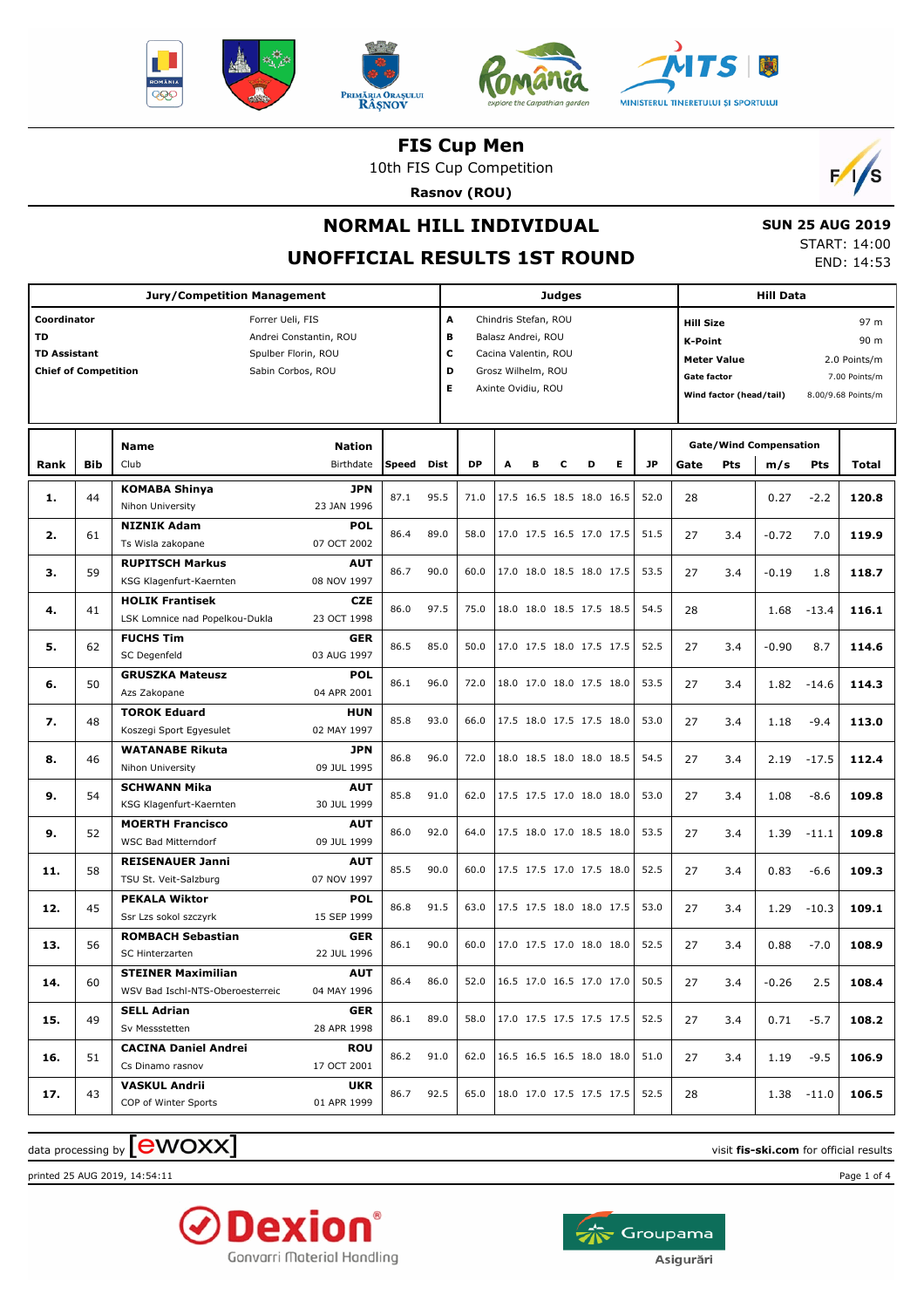





10th FIS Cup Competition

**Rasnov (ROU)**



# **NORMAL HILL INDIVIDUAL**

#### **SUN 25 AUG 2019** START: 14:00 END: 14:53

### **UNOFFICIAL RESULTS 1ST ROUND**

|                                                                                |            | <b>Jury/Competition Management</b>                       |                                                                    |      |      |                  |                                                                                                                                                                                                               |   | <b>Judges</b> |                          |           |      |            |                                                                     |         |         |       |
|--------------------------------------------------------------------------------|------------|----------------------------------------------------------|--------------------------------------------------------------------|------|------|------------------|---------------------------------------------------------------------------------------------------------------------------------------------------------------------------------------------------------------|---|---------------|--------------------------|-----------|------|------------|---------------------------------------------------------------------|---------|---------|-------|
| Coordinator<br><b>TD</b><br><b>TD Assistant</b><br><b>Chief of Competition</b> |            | Forrer Ueli, FIS                                         | Andrei Constantin, ROU<br>Spulber Florin, ROU<br>Sabin Corbos, ROU |      | Е    | A<br>B<br>c<br>D | Chindris Stefan, ROU<br><b>Hill Size</b><br>Balasz Andrei, ROU<br>K-Point<br>Cacina Valentin, ROU<br><b>Meter Value</b><br>Grosz Wilhelm, ROU<br>Gate factor<br>Axinte Ovidiu, ROU<br>Wind factor (head/tail) |   |               |                          |           |      |            | 97 m<br>90 m<br>2.0 Points/m<br>7.00 Points/m<br>8.00/9.68 Points/m |         |         |       |
| Rank                                                                           | <b>Bib</b> | <b>Name</b><br>Club                                      | Speed                                                              | Dist | DP   | A                | в                                                                                                                                                                                                             | с | D             | Е                        | <b>JP</b> | Gate | <b>Pts</b> | <b>Gate/Wind Compensation</b><br>m/s                                | Pts     | Total   |       |
| 1.                                                                             | 44         | <b>KOMABA Shinya</b><br>Nihon University                 | JPN<br>23 JAN 1996                                                 | 87.1 | 95.5 | 71.0             |                                                                                                                                                                                                               |   |               | 17.5 16.5 18.5 18.0 16.5 |           | 52.0 | 28         |                                                                     | 0.27    | $-2.2$  | 120.8 |
| 2.                                                                             | 61         | <b>NIZNIK Adam</b><br>Ts Wisla zakopane                  | <b>POL</b><br>07 OCT 2002                                          | 86.4 | 89.0 | 58.0             |                                                                                                                                                                                                               |   |               | 17.0 17.5 16.5 17.0 17.5 |           | 51.5 | 27         | 3.4                                                                 | $-0.72$ | 7.0     | 119.9 |
| з.                                                                             | 59         | <b>RUPITSCH Markus</b><br>KSG Klagenfurt-Kaernten        | <b>AUT</b><br>08 NOV 1997                                          | 86.7 | 90.0 | 60.0             |                                                                                                                                                                                                               |   |               | 17.0 18.0 18.5 18.0 17.5 |           | 53.5 | 27         | 3.4                                                                 | $-0.19$ | 1.8     | 118.7 |
| 4.                                                                             | 41         | <b>HOLIK Frantisek</b><br>LSK Lomnice nad Popelkou-Dukla | <b>CZE</b><br>23 OCT 1998                                          | 86.0 | 97.5 | 75.0             |                                                                                                                                                                                                               |   |               | 18.0 18.0 18.5 17.5 18.5 |           | 54.5 | 28         |                                                                     | 1.68    | $-13.4$ | 116.1 |
| 5.                                                                             | 62         | <b>FUCHS Tim</b><br>SC Degenfeld                         | <b>GER</b><br>03 AUG 1997                                          | 86.5 | 85.0 | 50.0             |                                                                                                                                                                                                               |   |               | 17.0 17.5 18.0 17.5 17.5 |           | 52.5 | 27         | 3.4                                                                 | $-0.90$ | 8.7     | 114.6 |
| 6.                                                                             | 50         | <b>GRUSZKA Mateusz</b><br>Azs Zakopane                   | <b>POL</b><br>04 APR 2001                                          | 86.1 | 96.0 | 72.0             |                                                                                                                                                                                                               |   |               | 18.0 17.0 18.0 17.5 18.0 |           | 53.5 | 27         | 3.4                                                                 | 1.82    | $-14.6$ | 114.3 |
| 7.                                                                             | 48         | <b>TOROK Eduard</b><br>Koszegi Sport Egyesulet           | <b>HUN</b><br>02 MAY 1997                                          | 85.8 | 93.0 | 66.0             |                                                                                                                                                                                                               |   |               | 17.5 18.0 17.5 17.5 18.0 |           | 53.0 | 27         | 3.4                                                                 | 1.18    | $-9.4$  | 113.0 |
| 8.                                                                             | 46         | <b>WATANABE Rikuta</b><br>Nihon University               | JPN<br>09 JUL 1995                                                 | 86.8 | 96.0 | 72.0             |                                                                                                                                                                                                               |   |               | 18.0 18.5 18.0 18.0 18.5 |           | 54.5 | 27         | 3.4                                                                 | 2.19    | $-17.5$ | 112.4 |
| 9.                                                                             | 54         | <b>SCHWANN Mika</b><br>KSG Klagenfurt-Kaernten           | <b>AUT</b><br>30 JUL 1999                                          | 85.8 | 91.0 | 62.0             |                                                                                                                                                                                                               |   |               | 17.5 17.5 17.0 18.0 18.0 |           | 53.0 | 27         | 3.4                                                                 | 1.08    | $-8.6$  | 109.8 |
| 9.                                                                             | 52         | <b>MOERTH Francisco</b><br><b>WSC Bad Mitterndorf</b>    | <b>AUT</b><br>09 JUL 1999                                          | 86.0 | 92.0 | 64.0             |                                                                                                                                                                                                               |   |               | 17.5 18.0 17.0 18.5 18.0 |           | 53.5 | 27         | 3.4                                                                 | 1.39    | $-11.1$ | 109.8 |
| 11.                                                                            | 58         | <b>REISENAUER Janni</b><br>TSU St. Veit-Salzburg         | <b>AUT</b><br>07 NOV 1997                                          | 85.5 | 90.0 | 60.0             |                                                                                                                                                                                                               |   |               | 17.5 17.5 17.0 17.5 18.0 |           | 52.5 | 27         | 3.4                                                                 | 0.83    | $-6.6$  | 109.3 |
| 12.                                                                            | 45         | <b>PEKALA Wiktor</b><br>Ssr Lzs sokol szczyrk            | <b>POL</b><br>15 SEP 1999                                          | 86.8 | 91.5 | 63.0             |                                                                                                                                                                                                               |   |               | 17.5 17.5 18.0 18.0 17.5 |           | 53.0 | 27         | 3.4                                                                 | 1.29    | $-10.3$ | 109.1 |
| 13.                                                                            | 56         | <b>ROMBACH Sebastian</b><br><b>SC Hinterzarten</b>       | <b>GER</b><br>22 JUL 1996                                          | 86.1 | 90.0 | 60.0             |                                                                                                                                                                                                               |   |               | 17.0 17.5 17.0 18.0 18.0 |           | 52.5 | 27         | 3.4                                                                 | 0.88    | $-7.0$  | 108.9 |
| 14.                                                                            | 60         | STEINER Maximilian<br>WSV Bad Ischl-NTS-Oberoesterreic   | <b>AUT</b><br>04 MAY 1996                                          | 86.4 | 86.0 | 52.0             |                                                                                                                                                                                                               |   |               | 16.5 17.0 16.5 17.0 17.0 |           | 50.5 | 27         | 3.4                                                                 | -0.26   | 2.5     | 108.4 |
| 15.                                                                            | 49         | <b>SELL Adrian</b><br>Sv Messstetten                     | <b>GER</b><br>28 APR 1998                                          | 86.1 | 89.0 | 58.0             |                                                                                                                                                                                                               |   |               | 17.0 17.5 17.5 17.5 17.5 |           | 52.5 | 27         | 3.4                                                                 | 0.71    | $-5.7$  | 108.2 |
| 16.                                                                            | 51         | <b>CACINA Daniel Andrei</b><br>Cs Dinamo rasnov          | ROU<br>17 OCT 2001                                                 | 86.2 | 91.0 | 62.0             |                                                                                                                                                                                                               |   |               | 16.5 16.5 16.5 18.0 18.0 |           | 51.0 | 27         | 3.4                                                                 | 1.19    | $-9.5$  | 106.9 |
| 17.                                                                            | 43         | <b>VASKUL Andrii</b><br>COP of Winter Sports             | UKR<br>01 APR 1999                                                 | 86.7 | 92.5 | 65.0             |                                                                                                                                                                                                               |   |               | 18.0 17.0 17.5 17.5 17.5 |           | 52.5 | 28         |                                                                     | 1.38    | $-11.0$ | 106.5 |

 $\alpha$  data processing by  $\boxed{\text{ewOX}}$ 

printed 25 AUG 2019, 14:54:11 Page 1 of 4



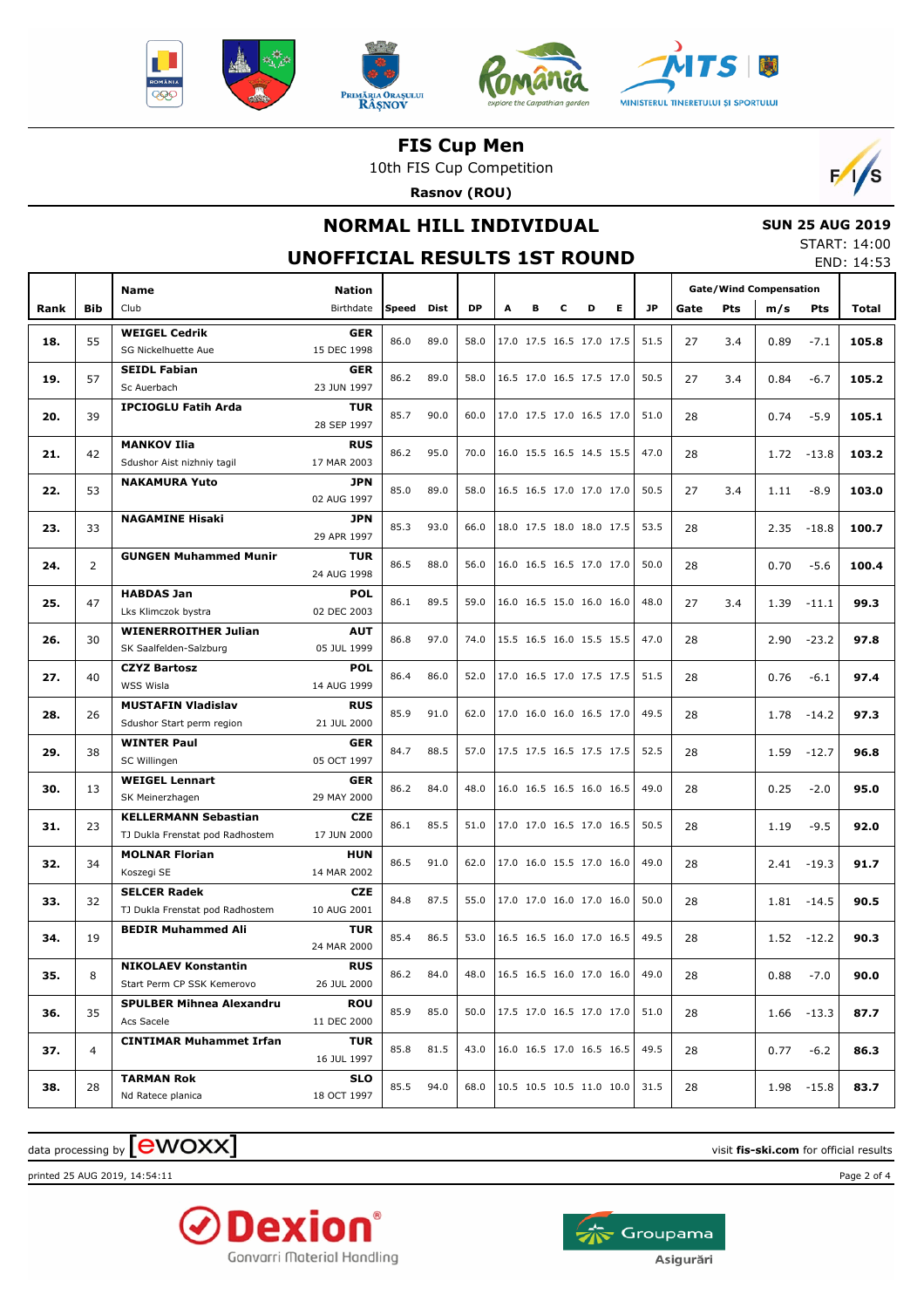







10th FIS Cup Competition

**Rasnov (ROU)**



## **NORMAL HILL INDIVIDUAL**

# **SUN 25 AUG 2019**

# **UNOFFICIAL RESULTS 1ST ROUND**

| START: 14:00 |            |
|--------------|------------|
|              | END: 14:53 |

|      |                | Name                                          | <b>Nation</b>             |       |      |           |   |   |   |                          |   |                               |      | <b>Gate/Wind Compensation</b> |      |               |       |
|------|----------------|-----------------------------------------------|---------------------------|-------|------|-----------|---|---|---|--------------------------|---|-------------------------------|------|-------------------------------|------|---------------|-------|
| Rank | Bib            | Club                                          | Birthdate                 | Speed | Dist | <b>DP</b> | A | в | c | D                        | Е | <b>JP</b>                     | Gate | <b>Pts</b>                    | m/s  | Pts           | Total |
|      |                | <b>WEIGEL Cedrik</b>                          | <b>GER</b>                |       |      |           |   |   |   |                          |   |                               |      |                               |      |               |       |
| 18.  | 55             | SG Nickelhuette Aue                           | 15 DEC 1998               | 86.0  | 89.0 | 58.0      |   |   |   | 17.0 17.5 16.5 17.0 17.5 |   | 51.5                          | 27   | 3.4                           | 0.89 | $-7.1$        | 105.8 |
|      |                | <b>SEIDL Fabian</b>                           | <b>GER</b>                |       |      |           |   |   |   |                          |   |                               |      |                               |      |               |       |
| 19.  | 57             | Sc Auerbach                                   | 23 JUN 1997               | 86.2  | 89.0 | 58.0      |   |   |   | 16.5 17.0 16.5 17.5 17.0 |   | 50.5                          | 27   | 3.4                           | 0.84 | $-6.7$        | 105.2 |
|      |                | <b>IPCIOGLU Fatih Arda</b>                    | <b>TUR</b>                |       |      |           |   |   |   |                          |   |                               |      |                               |      |               |       |
| 20.  | 39             |                                               | 28 SEP 1997               | 85.7  | 90.0 | 60.0      |   |   |   | 17.0 17.5 17.0 16.5 17.0 |   | 51.0                          | 28   |                               | 0.74 | $-5.9$        | 105.1 |
|      | 42             | <b>MANKOV Ilia</b>                            | <b>RUS</b>                | 86.2  | 95.0 | 70.0      |   |   |   | 16.0 15.5 16.5 14.5 15.5 |   | 47.0                          |      |                               |      |               |       |
| 21.  |                | Sdushor Aist nizhniy tagil                    | 17 MAR 2003               |       |      |           |   |   |   |                          |   |                               | 28   |                               | 1.72 | $-13.8$       | 103.2 |
| 22.  | 53             | <b>NAKAMURA Yuto</b>                          | <b>JPN</b>                | 85.0  | 89.0 | 58.0      |   |   |   | 16.5 16.5 17.0 17.0 17.0 |   | 50.5                          | 27   | 3.4                           | 1.11 | $-8.9$        | 103.0 |
|      |                |                                               | 02 AUG 1997               |       |      |           |   |   |   |                          |   |                               |      |                               |      |               |       |
| 23.  | 33             | <b>NAGAMINE Hisaki</b>                        | <b>JPN</b>                | 85.3  | 93.0 | 66.0      |   |   |   | 18.0 17.5 18.0 18.0 17.5 |   | 53.5                          | 28   |                               | 2.35 | $-18.8$       | 100.7 |
|      |                |                                               | 29 APR 1997               |       |      |           |   |   |   |                          |   |                               |      |                               |      |               |       |
| 24.  | $\overline{2}$ | <b>GUNGEN Muhammed Munir</b>                  | <b>TUR</b>                | 86.5  | 88.0 | 56.0      |   |   |   | 16.0 16.5 16.5 17.0 17.0 |   | 50.0                          | 28   |                               | 0.70 | $-5.6$        | 100.4 |
|      |                |                                               | 24 AUG 1998               |       |      |           |   |   |   |                          |   |                               |      |                               |      |               |       |
| 25.  | 47             | <b>HABDAS Jan</b>                             | <b>POL</b>                | 86.1  | 89.5 | 59.0      |   |   |   | 16.0 16.5 15.0 16.0 16.0 |   | 48.0                          | 27   | 3.4                           | 1.39 | $-11.1$       | 99.3  |
|      |                | Lks Klimczok bystra                           | 02 DEC 2003               |       |      |           |   |   |   |                          |   |                               |      |                               |      |               |       |
| 26.  | 30             | <b>WIENERROITHER Julian</b>                   | <b>AUT</b><br>05 JUL 1999 | 86.8  | 97.0 | 74.0      |   |   |   | 15.5 16.5 16.0 15.5 15.5 |   | 47.0                          | 28   |                               | 2.90 | $-23.2$       | 97.8  |
|      |                | SK Saalfelden-Salzburg<br><b>CZYZ Bartosz</b> | <b>POL</b>                |       |      |           |   |   |   |                          |   |                               |      |                               |      |               |       |
| 27.  | 40             | WSS Wisla                                     | 14 AUG 1999               | 86.4  | 86.0 | 52.0      |   |   |   | 17.0 16.5 17.0 17.5 17.5 |   | 51.5                          | 28   |                               | 0.76 | $-6.1$        | 97.4  |
|      |                | <b>MUSTAFIN Vladislav</b>                     | <b>RUS</b>                |       |      |           |   |   |   |                          |   |                               |      |                               |      |               |       |
| 28.  | 26             | Sdushor Start perm region                     | 21 JUL 2000               | 85.9  | 91.0 | 62.0      |   |   |   | 17.0 16.0 16.0 16.5 17.0 |   | 49.5                          | 28   |                               | 1.78 | $-14.2$       | 97.3  |
|      |                | <b>WINTER Paul</b>                            | <b>GER</b>                |       |      |           |   |   |   |                          |   |                               |      |                               |      |               |       |
| 29.  | 38             | SC Willingen                                  | 05 OCT 1997               | 84.7  | 88.5 | 57.0      |   |   |   | 17.5 17.5 16.5 17.5 17.5 |   | 52.5                          | 28   |                               | 1.59 | $-12.7$       | 96.8  |
|      |                | <b>WEIGEL Lennart</b>                         | <b>GER</b>                |       |      |           |   |   |   |                          |   |                               |      |                               |      |               |       |
| 30.  | 13             | SK Meinerzhagen                               | 29 MAY 2000               | 86.2  | 84.0 | 48.0      |   |   |   | 16.0 16.5 16.5 16.0 16.5 |   | 49.0                          | 28   |                               | 0.25 | $-2.0$        | 95.0  |
| 31.  | 23             | <b>KELLERMANN Sebastian</b>                   | <b>CZE</b>                | 86.1  | 85.5 | 51.0      |   |   |   | 17.0 17.0 16.5 17.0 16.5 |   | 50.5                          | 28   |                               | 1.19 | $-9.5$        | 92.0  |
|      |                | TJ Dukla Frenstat pod Radhostem               | 17 JUN 2000               |       |      |           |   |   |   |                          |   |                               |      |                               |      |               |       |
| 32.  | 34             | <b>MOLNAR Florian</b>                         | <b>HUN</b>                | 86.5  | 91.0 | 62.0      |   |   |   | 17.0 16.0 15.5 17.0 16.0 |   | 49.0                          | 28   |                               | 2.41 | $-19.3$       | 91.7  |
|      |                | Koszegi SE                                    | 14 MAR 2002               |       |      |           |   |   |   |                          |   |                               |      |                               |      |               |       |
| 33.  | 32             | <b>SELCER Radek</b>                           | <b>CZE</b>                | 84.8  | 87.5 | 55.0      |   |   |   | 17.0 17.0 16.0 17.0 16.0 |   | 50.0                          | 28   |                               | 1.81 | $-14.5$       | 90.5  |
|      |                | TJ Dukla Frenstat pod Radhostem               | 10 AUG 2001               |       |      |           |   |   |   |                          |   |                               |      |                               |      |               |       |
| 34.  | 19             | <b>BEDIR Muhammed Ali</b>                     | <b>TUR</b>                | 85.4  | 86.5 | 53.0      |   |   |   | 16.5 16.5 16.0 17.0 16.5 |   | 49.5                          | 28   |                               | 1.52 | $-12.2$       | 90.3  |
|      |                |                                               | 24 MAR 2000               |       |      |           |   |   |   |                          |   |                               |      |                               |      |               |       |
| 35.  | 8              | <b>NIKOLAEV Konstantin</b>                    | <b>RUS</b>                | 86.2  | 84.0 | 48.0      |   |   |   | 16.5 16.5 16.0 17.0 16.0 |   | 49.0                          | 28   |                               |      | $0.88 - 7.0$  | 90.0  |
|      |                | Start Perm CP SSK Kemerovo                    | 26 JUL 2000               |       |      |           |   |   |   |                          |   |                               |      |                               |      |               |       |
| 36.  | 35             | <b>SPULBER Mihnea Alexandru</b>               | <b>ROU</b>                | 85.9  | 85.0 | 50.0      |   |   |   |                          |   | 17.5 17.0 16.5 17.0 17.0 51.0 | 28   |                               |      | $1.66 - 13.3$ | 87.7  |
|      |                | Acs Sacele                                    | 11 DEC 2000               |       |      |           |   |   |   |                          |   |                               |      |                               |      |               |       |
| 37.  | 4              | <b>CINTIMAR Muhammet Irfan</b>                | TUR<br>16 JUL 1997        | 85.8  | 81.5 | 43.0      |   |   |   |                          |   | 16.0 16.5 17.0 16.5 16.5 49.5 | 28   |                               |      | $0.77 - 6.2$  | 86.3  |
|      |                |                                               |                           |       |      |           |   |   |   |                          |   |                               |      |                               |      |               |       |
| 38.  | 28             | <b>TARMAN Rok</b><br>Nd Ratece planica        | <b>SLO</b><br>18 OCT 1997 | 85.5  | 94.0 | 68.0      |   |   |   |                          |   | 10.5 10.5 10.5 11.0 10.0 31.5 | 28   |                               |      | 1.98 -15.8    | 83.7  |
|      |                |                                               |                           |       |      |           |   |   |   |                          |   |                               |      |                               |      |               |       |

#### $\alpha$  data processing by  $\boxed{\text{ewOX}}$

printed 25 AUG 2019, 14:54:11 Page 2 of 4



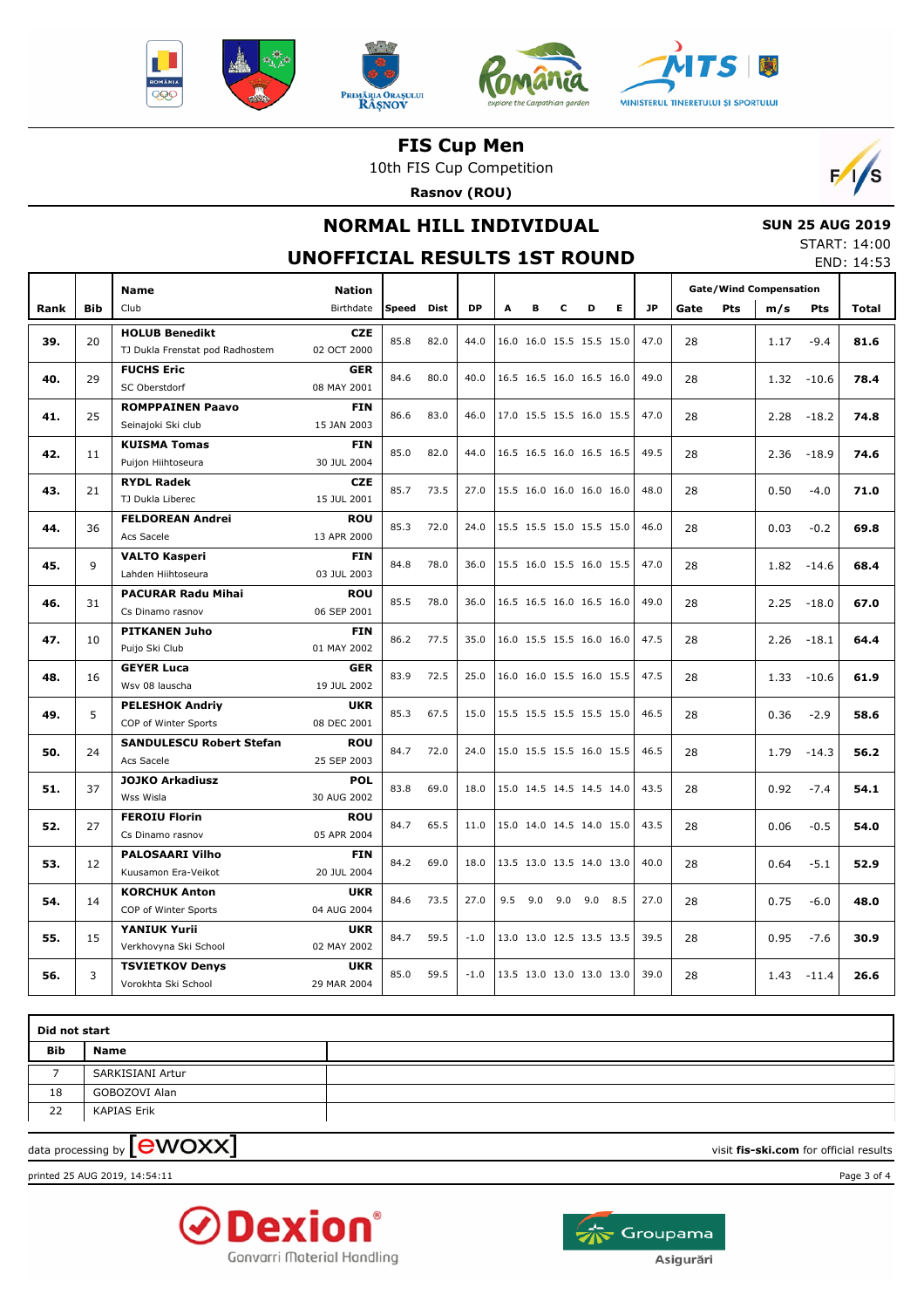







10th FIS Cup Competition

**Rasnov (ROU)**



## **NORMAL HILL INDIVIDUAL**

# **SUN 25 AUG 2019**

**UNOFFICIAL RESULTS 1ST ROUND**

START: 14:00 END: 14:53

|      |            | <b>Name</b>                           | <b>Nation</b>                                   |       |             |           |     |                          |                          |   |                          |           | <b>Gate/Wind Compensation</b> |            |      |            |       |
|------|------------|---------------------------------------|-------------------------------------------------|-------|-------------|-----------|-----|--------------------------|--------------------------|---|--------------------------|-----------|-------------------------------|------------|------|------------|-------|
| Rank | <b>Bib</b> | Club                                  | Birthdate                                       | Speed | <b>Dist</b> | <b>DP</b> | A   | в                        | c                        | D | E.                       | <b>JP</b> | Gate                          | <b>Pts</b> | m/s  | <b>Pts</b> | Total |
| 39.  | 20         | <b>HOLUB Benedikt</b>                 | <b>CZE</b>                                      | 85.8  | 82.0        | 44.0      |     | 16.0 16.0 15.5 15.5 15.0 |                          |   |                          | 47.0      | 28                            |            |      |            |       |
|      |            | TJ Dukla Frenstat pod Radhostem       | 02 OCT 2000                                     |       |             |           |     |                          |                          |   |                          |           |                               |            | 1.17 | $-9.4$     | 81.6  |
| 40.  | 29         | <b>FUCHS Eric</b>                     | <b>GER</b>                                      | 84.6  | 80.0        | 40.0      |     | 16.5 16.5 16.0 16.5 16.0 |                          |   |                          | 49.0      | 28                            |            | 1.32 | $-10.6$    | 78.4  |
|      |            | SC Oberstdorf                         | 08 MAY 2001                                     |       |             |           |     |                          |                          |   |                          |           |                               |            |      |            |       |
| 41.  | 25         | <b>ROMPPAINEN Paavo</b><br><b>FIN</b> |                                                 | 86.6  | 83.0        | 46.0      |     | 17.0 15.5 15.5 16.0 15.5 |                          |   |                          | 47.0      | 28                            |            | 2.28 | $-18.2$    | 74.8  |
|      |            | Seinajoki Ski club                    | 15 JAN 2003                                     |       |             |           |     |                          |                          |   |                          |           |                               |            |      |            |       |
| 42.  | 11         | <b>KUISMA Tomas</b>                   |                                                 | 85.0  | 82.0        | 44.0      |     | 16.5 16.5 16.0 16.5 16.5 |                          |   |                          | 49.5      | 28                            |            | 2.36 | $-18.9$    | 74.6  |
|      |            | Puijon Hiihtoseura                    | 30 JUL 2004                                     |       |             |           |     |                          |                          |   |                          |           |                               |            |      |            |       |
| 43.  | 21         | <b>RYDL Radek</b><br><b>CZE</b>       |                                                 | 85.7  | 73.5        | 27.0      |     | 15.5 16.0 16.0 16.0 16.0 |                          |   |                          | 48.0      | 28                            |            | 0.50 | $-4.0$     | 71.0  |
|      |            | TJ Dukla Liberec                      | 15 JUL 2001                                     |       |             |           |     |                          |                          |   |                          |           |                               |            |      |            |       |
| 44.  | 36         | <b>FELDOREAN Andrei</b>               | <b>ROU</b>                                      | 85.3  | 72.0        | 24.0      |     |                          |                          |   | 15.5 15.5 15.0 15.5 15.0 | 46.0      | 28                            |            | 0.03 | $-0.2$     | 69.8  |
|      |            | Acs Sacele                            | 13 APR 2000                                     |       |             |           |     |                          |                          |   |                          |           |                               |            |      |            |       |
| 45.  | 9          | <b>VALTO Kasperi</b>                  | <b>FIN</b><br>03 JUL 2003<br>Lahden Hiihtoseura |       | 78.0        | 36.0      |     | 15.5 16.0 15.5 16.0 15.5 |                          |   |                          | 47.0      | 28                            |            | 1.82 | $-14.6$    | 68.4  |
|      |            |                                       |                                                 |       |             |           |     |                          |                          |   |                          |           |                               |            |      |            |       |
| 46.  | 31         | <b>PACURAR Radu Mihai</b>             | <b>ROU</b>                                      | 85.5  | 78.0        | 36.0      |     | 16.5 16.5 16.0 16.5 16.0 |                          |   |                          | 49.0      | 28                            |            | 2.25 | $-18.0$    | 67.0  |
|      |            | Cs Dinamo rasnov                      | 06 SEP 2001                                     |       |             |           |     |                          |                          |   |                          |           |                               |            |      |            |       |
| 47.  | 10         | <b>PITKANEN Juho</b>                  | <b>FIN</b>                                      | 86.2  | 77.5        | 35.0      |     | 16.0 15.5 15.5 16.0 16.0 |                          |   |                          | 47.5      | 28                            |            | 2.26 | $-18.1$    | 64.4  |
|      |            | Puijo Ski Club                        | 01 MAY 2002                                     |       |             |           |     |                          |                          |   |                          |           |                               |            |      |            |       |
| 48.  | 16         | <b>GEYER Luca</b>                     | <b>GER</b>                                      | 83.9  | 72.5        | 25.0      |     | 16.0 16.0 15.5 16.0 15.5 |                          |   |                          | 47.5      | 28                            |            | 1.33 | $-10.6$    | 61.9  |
|      |            | Wsv 08 lauscha                        | 19 JUL 2002                                     |       |             |           |     |                          |                          |   |                          |           |                               |            |      |            |       |
| 49.  | 5          | <b>PELESHOK Andriy</b>                | <b>UKR</b>                                      | 85.3  | 67.5        | 15.0      |     | 15.5 15.5 15.5 15.5 15.0 |                          |   |                          | 46.5      | 28                            |            | 0.36 | $-2.9$     | 58.6  |
|      |            | COP of Winter Sports                  | 08 DEC 2001                                     |       |             |           |     |                          |                          |   |                          |           |                               |            |      |            |       |
| 50.  | 24         | <b>SANDULESCU Robert Stefan</b>       | <b>ROU</b>                                      | 84.7  | 72.0        | 24.0      |     | 15.0 15.5 15.5 16.0 15.5 |                          |   |                          | 46.5      | 28                            |            | 1.79 | $-14.3$    | 56.2  |
|      |            | Acs Sacele                            | 25 SEP 2003                                     |       |             |           |     |                          |                          |   |                          |           |                               |            |      |            |       |
| 51.  | 37         | <b>JOJKO Arkadiusz</b><br>Wss Wisla   | <b>POL</b><br>30 AUG 2002                       | 83.8  | 69.0        | 18.0      |     | 15.0 14.5 14.5 14.5 14.0 |                          |   |                          | 43.5      | 28                            |            | 0.92 | $-7.4$     | 54.1  |
|      |            | <b>FEROIU Florin</b>                  | <b>ROU</b>                                      |       |             |           |     |                          |                          |   |                          |           |                               |            |      |            |       |
| 52.  | 27         | Cs Dinamo rasnov                      | 05 APR 2004                                     | 84.7  | 65.5        | 11.0      |     | 15.0 14.0 14.5 14.0 15.0 |                          |   |                          | 43.5      | 28                            |            | 0.06 | $-0.5$     | 54.0  |
|      |            | <b>PALOSAARI Vilho</b>                | <b>FIN</b>                                      |       |             |           |     |                          |                          |   |                          |           |                               |            |      |            |       |
| 53.  | 12         | Kuusamon Era-Veikot                   | 20 JUL 2004                                     | 84.2  | 69.0        | 18.0      |     | 13.5 13.0 13.5 14.0 13.0 |                          |   |                          | 40.0      | 28                            |            | 0.64 | $-5.1$     | 52.9  |
|      |            | <b>KORCHUK Anton</b>                  | <b>UKR</b>                                      |       |             |           |     |                          |                          |   |                          |           |                               |            |      |            |       |
| 54.  | 14         | COP of Winter Sports                  | 04 AUG 2004                                     | 84.6  | 73.5        | 27.0      | 9.5 | 9.0                      | $9.0$ $9.0$              |   | 8.5                      | 27.0      | 28                            |            | 0.75 | $-6.0$     | 48.0  |
|      |            | <b>YANIUK Yurii</b>                   | <b>UKR</b>                                      |       |             |           |     |                          |                          |   |                          |           |                               |            |      |            |       |
| 55.  | 15         | Verkhovyna Ski School                 | 02 MAY 2002                                     | 84.7  | 59.5        | $-1.0$    |     |                          | 13.0 13.0 12.5 13.5 13.5 |   |                          | 39.5      | 28                            |            | 0.95 | $-7.6$     | 30.9  |
|      |            | <b>TSVIETKOV Denys</b>                | <b>UKR</b>                                      |       |             |           |     |                          |                          |   |                          |           |                               |            |      |            |       |
| 56.  | 3          | Vorokhta Ski School                   | 29 MAR 2004                                     | 85.0  | 59.5        | $-1.0$    |     | 13.5 13.0 13.0 13.0 13.0 |                          |   |                          | 39.0      | 28                            |            | 1.43 | $-11.4$    | 26.6  |

| Did not start |                  |  |
|---------------|------------------|--|
| <b>Bib</b>    | Name             |  |
|               | SARKISIANI Artur |  |
| 18            | GOBOZOVI Alan    |  |
| 22            | KAPIAS Erik      |  |
|               |                  |  |

data processing by **CWOXX** and  $\overline{A}$  and  $\overline{B}$  wisit **fis-ski.com** for official results

printed 25 AUG 2019, 14:54:11 Page 3 of 4